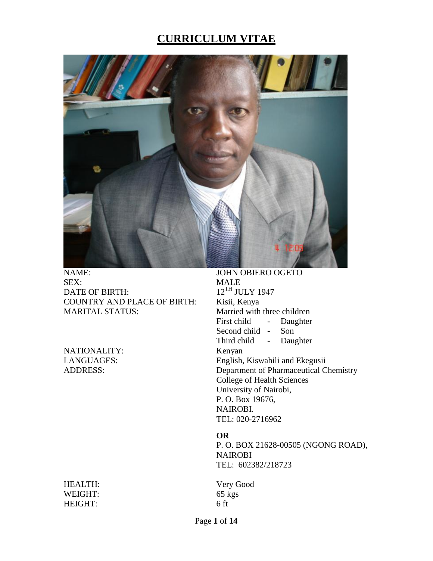# **CURRICULUM VITAE**



NAME: JOHN OBIERO OGETO SEX: MALE DATE OF BIRTH: 12<sup>TH</sup> JULY 1947<br>COUNTRY AND PLACE OF BIRTH: Kisii, Kenya COUNTRY AND PLACE OF BIRTH: MARITAL STATUS: Married with three children

NATIONALITY: Kenyan

HEALTH: Very Good<br>WEIGHT: 65 kgs WEIGHT: HEIGHT: 6 ft

First child - Daughter Second child - Son Third child - Daughter LANGUAGES: English, Kiswahili and Ekegusii ADDRESS: Department of Pharmaceutical Chemistry College of Health Sciences University of Nairobi, P. O. Box 19676, NAIROBI. TEL: 020-2716962

#### **OR**

P. O. BOX 21628-00505 (NGONG ROAD), NAIROBI TEL: 602382/218723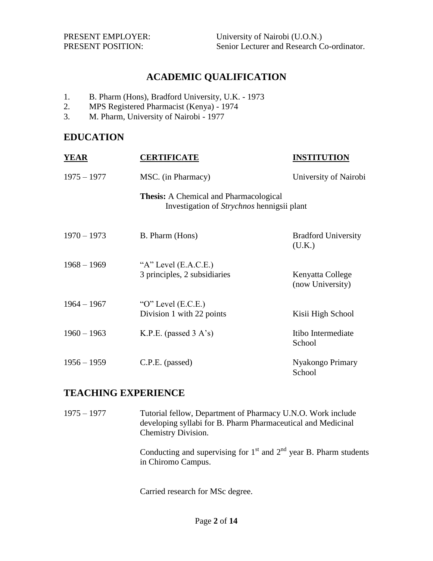## **ACADEMIC QUALIFICATION**

- 1. B. Pharm (Hons), Bradford University, U.K. 1973
- 2. MPS Registered Pharmacist (Kenya) 1974
- 3. M. Pharm, University of Nairobi 1977

## **EDUCATION**

| YEAR          | <b>CERTIFICATE</b>                                                                          | <b>INSTITUTION</b>                   |
|---------------|---------------------------------------------------------------------------------------------|--------------------------------------|
| $1975 - 1977$ | MSC. (in Pharmacy)                                                                          | University of Nairobi                |
|               | <b>Thesis:</b> A Chemical and Pharmacological<br>Investigation of Strychnos hennigsii plant |                                      |
| $1970 - 1973$ | B. Pharm (Hons)                                                                             | <b>Bradford University</b><br>(U.K.) |
| $1968 - 1969$ | "A" Level $(E.A.C.E.)$<br>3 principles, 2 subsidiaries                                      | Kenyatta College<br>(now University) |
| $1964 - 1967$ | " $O$ " Level (E.C.E.)<br>Division 1 with 22 points                                         | Kisii High School                    |
| $1960 - 1963$ | K.P.E. (passed $3 A's$ )                                                                    | Itibo Intermediate<br>School         |
| $1956 - 1959$ | C.P.E. (passed)                                                                             | Nyakongo Primary<br>School           |

### **TEACHING EXPERIENCE**

1975 – 1977 Tutorial fellow, Department of Pharmacy U.N.O. Work include developing syllabi for B. Pharm Pharmaceutical and Medicinal Chemistry Division.

> Conducting and supervising for  $1<sup>st</sup>$  and  $2<sup>nd</sup>$  year B. Pharm students in Chiromo Campus.

Carried research for MSc degree.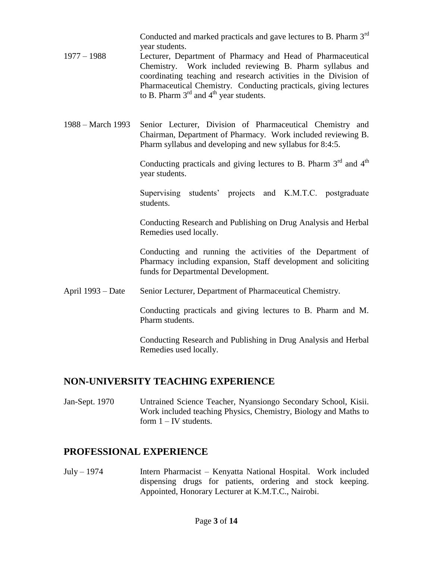Conducted and marked practicals and gave lectures to B. Pharm 3<sup>rd</sup> year students.

- 1977 1988 Lecturer, Department of Pharmacy and Head of Pharmaceutical Chemistry. Work included reviewing B. Pharm syllabus and coordinating teaching and research activities in the Division of Pharmaceutical Chemistry. Conducting practicals, giving lectures to B. Pharm  $3<sup>rd</sup>$  and  $4<sup>th</sup>$  year students.
- 1988 March 1993 Senior Lecturer, Division of Pharmaceutical Chemistry and Chairman, Department of Pharmacy. Work included reviewing B. Pharm syllabus and developing and new syllabus for 8:4:5.

Conducting practicals and giving lectures to B. Pharm  $3<sup>rd</sup>$  and  $4<sup>th</sup>$ year students.

Supervising students" projects and K.M.T.C. postgraduate students.

Conducting Research and Publishing on Drug Analysis and Herbal Remedies used locally.

Conducting and running the activities of the Department of Pharmacy including expansion, Staff development and soliciting funds for Departmental Development.

April 1993 – Date Senior Lecturer, Department of Pharmaceutical Chemistry.

Conducting practicals and giving lectures to B. Pharm and M. Pharm students.

Conducting Research and Publishing in Drug Analysis and Herbal Remedies used locally.

# **NON-UNIVERSITY TEACHING EXPERIENCE**

Jan-Sept. 1970 Untrained Science Teacher, Nyansiongo Secondary School, Kisii. Work included teaching Physics, Chemistry, Biology and Maths to form  $1 - IV$  students.

# **PROFESSIONAL EXPERIENCE**

July – 1974 Intern Pharmacist – Kenyatta National Hospital. Work included dispensing drugs for patients, ordering and stock keeping. Appointed, Honorary Lecturer at K.M.T.C., Nairobi.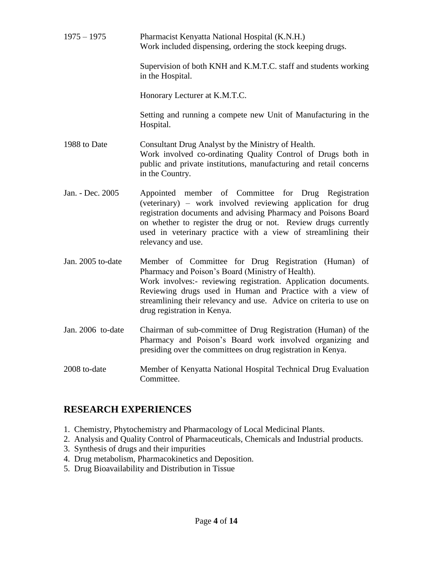1975 – 1975 Pharmacist Kenyatta National Hospital (K.N.H.) Work included dispensing, ordering the stock keeping drugs. Supervision of both KNH and K.M.T.C. staff and students working in the Hospital. Honorary Lecturer at K.M.T.C. Setting and running a compete new Unit of Manufacturing in the Hospital. 1988 to Date Consultant Drug Analyst by the Ministry of Health. Work involved co-ordinating Quality Control of Drugs both in public and private institutions, manufacturing and retail concerns in the Country. Jan. - Dec. 2005 Appointed member of Committee for Drug Registration (veterinary) – work involved reviewing application for drug registration documents and advising Pharmacy and Poisons Board on whether to register the drug or not. Review drugs currently used in veterinary practice with a view of streamlining their relevancy and use. Jan. 2005 to-date Member of Committee for Drug Registration (Human) of Pharmacy and Poison"s Board (Ministry of Health). Work involves:- reviewing registration. Application documents. Reviewing drugs used in Human and Practice with a view of streamlining their relevancy and use. Advice on criteria to use on drug registration in Kenya. Jan. 2006 to-date Chairman of sub-committee of Drug Registration (Human) of the Pharmacy and Poison"s Board work involved organizing and presiding over the committees on drug registration in Kenya. 2008 to-date Member of Kenyatta National Hospital Technical Drug Evaluation Committee.

## **RESEARCH EXPERIENCES**

- 1. Chemistry, Phytochemistry and Pharmacology of Local Medicinal Plants.
- 2. Analysis and Quality Control of Pharmaceuticals, Chemicals and Industrial products.
- 3. Synthesis of drugs and their impurities
- 4. Drug metabolism, Pharmacokinetics and Deposition.
- 5. Drug Bioavailability and Distribution in Tissue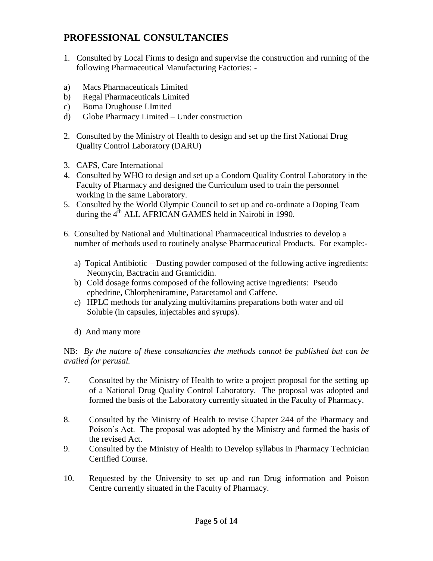## **PROFESSIONAL CONSULTANCIES**

- 1. Consulted by Local Firms to design and supervise the construction and running of the following Pharmaceutical Manufacturing Factories: -
- a) Macs Pharmaceuticals Limited
- b) Regal Pharmaceuticals Limited
- c) Boma Drughouse LImited
- d) Globe Pharmacy Limited Under construction
- 2. Consulted by the Ministry of Health to design and set up the first National Drug Quality Control Laboratory (DARU)
- 3. CAFS, Care International
- 4. Consulted by WHO to design and set up a Condom Quality Control Laboratory in the Faculty of Pharmacy and designed the Curriculum used to train the personnel working in the same Laboratory.
- 5. Consulted by the World Olympic Council to set up and co-ordinate a Doping Team during the  $4^{th}$  ALL AFRICAN GAMES held in Nairobi in 1990.
- 6. Consulted by National and Multinational Pharmaceutical industries to develop a number of methods used to routinely analyse Pharmaceutical Products. For example:
	- a) Topical Antibiotic Dusting powder composed of the following active ingredients: Neomycin, Bactracin and Gramicidin.
	- b) Cold dosage forms composed of the following active ingredients: Pseudo ephedrine, Chlorpheniramine, Paracetamol and Caffene.
	- c) HPLC methods for analyzing multivitamins preparations both water and oil Soluble (in capsules, injectables and syrups).
	- d) And many more

NB: *By the nature of these consultancies the methods cannot be published but can be availed for perusal.*

- 7. Consulted by the Ministry of Health to write a project proposal for the setting up of a National Drug Quality Control Laboratory. The proposal was adopted and formed the basis of the Laboratory currently situated in the Faculty of Pharmacy.
- 8. Consulted by the Ministry of Health to revise Chapter 244 of the Pharmacy and Poison"s Act. The proposal was adopted by the Ministry and formed the basis of the revised Act.
- 9. Consulted by the Ministry of Health to Develop syllabus in Pharmacy Technician Certified Course.
- 10. Requested by the University to set up and run Drug information and Poison Centre currently situated in the Faculty of Pharmacy.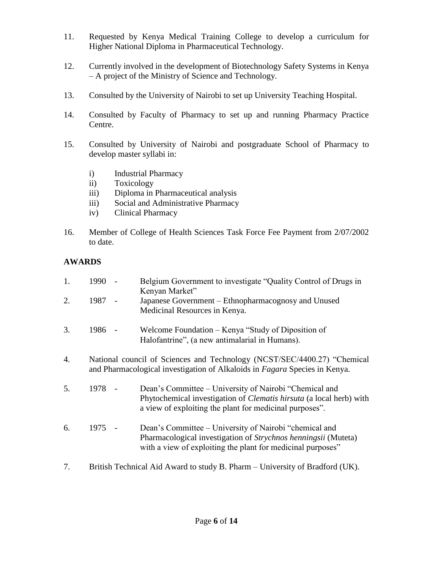- 11. Requested by Kenya Medical Training College to develop a curriculum for Higher National Diploma in Pharmaceutical Technology.
- 12. Currently involved in the development of Biotechnology Safety Systems in Kenya – A project of the Ministry of Science and Technology.
- 13. Consulted by the University of Nairobi to set up University Teaching Hospital.
- 14. Consulted by Faculty of Pharmacy to set up and running Pharmacy Practice Centre.
- 15. Consulted by University of Nairobi and postgraduate School of Pharmacy to develop master syllabi in:
	- i) Industrial Pharmacy
	- ii) Toxicology
	- iii) Diploma in Pharmaceutical analysis
	- iii) Social and Administrative Pharmacy
	- iv) Clinical Pharmacy
- 16. Member of College of Health Sciences Task Force Fee Payment from 2/07/2002 to date.

### **AWARDS**

| 1. | 1990                                                                         |  | Belgium Government to investigate "Quality Control of Drugs in<br>Kenyan Market"                                                                                                                |
|----|------------------------------------------------------------------------------|--|-------------------------------------------------------------------------------------------------------------------------------------------------------------------------------------------------|
| 2. | 1987 -                                                                       |  | Japanese Government – Ethnopharmacognosy and Unused<br>Medicinal Resources in Kenya.                                                                                                            |
| 3. | 1986 -                                                                       |  | Welcome Foundation – Kenya "Study of Diposition of<br>Halofantrine", (a new antimalarial in Humans).                                                                                            |
| 4. |                                                                              |  | National council of Sciences and Technology (NCST/SEC/4400.27) "Chemical<br>and Pharmacological investigation of Alkaloids in Fagara Species in Kenya.                                          |
| 5. | 1978 -                                                                       |  | Dean's Committee – University of Nairobi "Chemical and<br>Phytochemical investigation of <i>Clematis hirsuta</i> (a local herb) with<br>a view of exploiting the plant for medicinal purposes". |
| 6. | 1975                                                                         |  | Dean's Committee – University of Nairobi "chemical and<br>Pharmacological investigation of Strychnos henningsii (Muteta)<br>with a view of exploiting the plant for medicinal purposes"         |
| 7. | British Technical Aid Award to study B. Pharm - University of Bradford (UK). |  |                                                                                                                                                                                                 |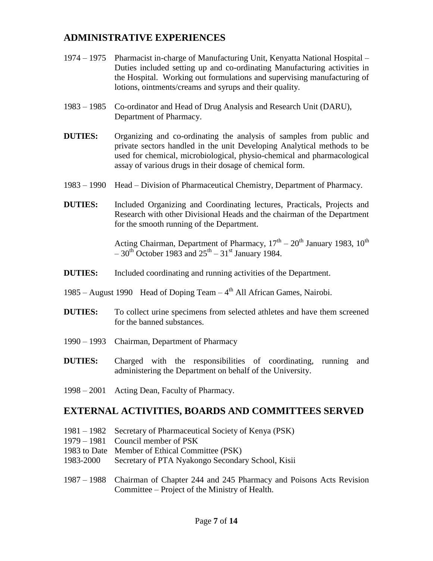## **ADMINISTRATIVE EXPERIENCES**

- 1974 1975 Pharmacist in-charge of Manufacturing Unit, Kenyatta National Hospital Duties included setting up and co-ordinating Manufacturing activities in the Hospital. Working out formulations and supervising manufacturing of lotions, ointments/creams and syrups and their quality.
- 1983 1985 Co-ordinator and Head of Drug Analysis and Research Unit (DARU), Department of Pharmacy.
- **DUTIES:** Organizing and co-ordinating the analysis of samples from public and private sectors handled in the unit Developing Analytical methods to be used for chemical, microbiological, physio-chemical and pharmacological assay of various drugs in their dosage of chemical form.
- 1983 1990 Head Division of Pharmaceutical Chemistry, Department of Pharmacy.
- **DUTIES:** Included Organizing and Coordinating lectures, Practicals, Projects and Research with other Divisional Heads and the chairman of the Department for the smooth running of the Department.

Acting Chairman, Department of Pharmacy,  $17<sup>th</sup> - 20<sup>th</sup>$  January 1983,  $10<sup>th</sup>$  $-30^{th}$  October 1983 and  $25^{th} - 31^{st}$  January 1984.

- **DUTIES:** Included coordinating and running activities of the Department.
- 1985 August 1990 Head of Doping Team  $4<sup>th</sup>$  All African Games, Nairobi.
- **DUTIES:** To collect urine specimens from selected athletes and have them screened for the banned substances.
- 1990 1993 Chairman, Department of Pharmacy
- **DUTIES:** Charged with the responsibilities of coordinating, running and administering the Department on behalf of the University.
- 1998 2001 Acting Dean, Faculty of Pharmacy.

#### **EXTERNAL ACTIVITIES, BOARDS AND COMMITTEES SERVED**

- 1981 1982 Secretary of Pharmaceutical Society of Kenya (PSK)
- 1979 1981 Council member of PSK
- 1983 to Date Member of Ethical Committee (PSK)
- 1983-2000 Secretary of PTA Nyakongo Secondary School, Kisii
- 1987 1988 Chairman of Chapter 244 and 245 Pharmacy and Poisons Acts Revision Committee – Project of the Ministry of Health.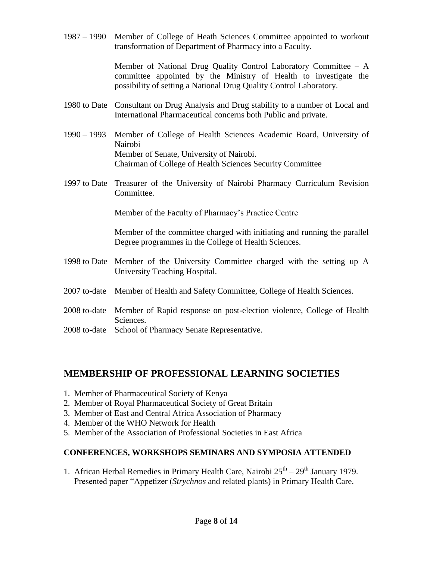1987 – 1990 Member of College of Heath Sciences Committee appointed to workout transformation of Department of Pharmacy into a Faculty.

> Member of National Drug Quality Control Laboratory Committee – A committee appointed by the Ministry of Health to investigate the possibility of setting a National Drug Quality Control Laboratory.

- 1980 to Date Consultant on Drug Analysis and Drug stability to a number of Local and International Pharmaceutical concerns both Public and private.
- 1990 1993 Member of College of Health Sciences Academic Board, University of Nairobi Member of Senate, University of Nairobi. Chairman of College of Health Sciences Security Committee
- 1997 to Date Treasurer of the University of Nairobi Pharmacy Curriculum Revision Committee.

Member of the Faculty of Pharmacy"s Practice Centre

Member of the committee charged with initiating and running the parallel Degree programmes in the College of Health Sciences.

- 1998 to Date Member of the University Committee charged with the setting up A University Teaching Hospital.
- 2007 to-date Member of Health and Safety Committee, College of Health Sciences.
- 2008 to-date Member of Rapid response on post-election violence, College of Health Sciences.
- 2008 to-date School of Pharmacy Senate Representative.

## **MEMBERSHIP OF PROFESSIONAL LEARNING SOCIETIES**

- 1. Member of Pharmaceutical Society of Kenya
- 2. Member of Royal Pharmaceutical Society of Great Britain
- 3. Member of East and Central Africa Association of Pharmacy
- 4. Member of the WHO Network for Health
- 5. Member of the Association of Professional Societies in East Africa

### **CONFERENCES, WORKSHOPS SEMINARS AND SYMPOSIA ATTENDED**

1. African Herbal Remedies in Primary Health Care, Nairobi  $25<sup>th</sup> - 29<sup>th</sup>$  January 1979. Presented paper "Appetizer (*Strychnos* and related plants) in Primary Health Care.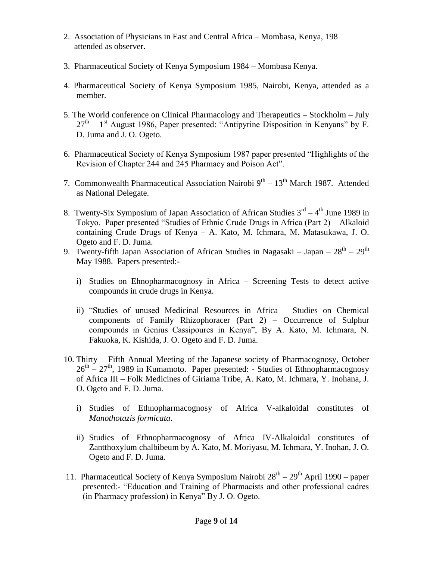- 2. Association of Physicians in East and Central Africa Mombasa, Kenya, 198 attended as observer.
- 3. Pharmaceutical Society of Kenya Symposium 1984 Mombasa Kenya.
- 4. Pharmaceutical Society of Kenya Symposium 1985, Nairobi, Kenya, attended as a member.
- 5. The World conference on Clinical Pharmacology and Therapeutics Stockholm July  $27<sup>th</sup> - 1<sup>st</sup>$  August 1986, Paper presented: "Antipyrine Disposition in Kenyans" by F. D. Juma and J. O. Ogeto.
- 6. Pharmaceutical Society of Kenya Symposium 1987 paper presented "Highlights of the Revision of Chapter 244 and 245 Pharmacy and Poison Act".
- 7. Commonwealth Pharmaceutical Association Nairobi  $9<sup>th</sup> 13<sup>th</sup>$  March 1987. Attended as National Delegate.
- 8. Twenty-Six Symposium of Japan Association of African Studies  $3<sup>rd</sup> 4<sup>th</sup>$  June 1989 in Tokyo. Paper presented "Studies of Ethnic Crude Drugs in Africa (Part 2) – Alkaloid containing Crude Drugs of Kenya – A. Kato, M. Ichmara, M. Matasukawa, J. O. Ogeto and F. D. Juma.
- 9. Twenty-fifth Japan Association of African Studies in Nagasaki Japan  $28<sup>th</sup> 29<sup>th</sup>$ May 1988. Papers presented:
	- i) Studies on Ehnopharmacognosy in Africa Screening Tests to detect active compounds in crude drugs in Kenya.
	- ii) "Studies of unused Medicinal Resources in Africa Studies on Chemical components of Family Rhizophoracer (Part 2) – Occurrence of Sulphur compounds in Genius Cassipoures in Kenya", By A. Kato, M. Ichmara, N. Fakuoka, K. Kishida, J. O. Ogeto and F. D. Juma.
- 10. Thirty Fifth Annual Meeting of the Japanese society of Pharmacognosy, October  $26<sup>th</sup> - 27<sup>th</sup>$ , 1989 in Kumamoto. Paper presented: - Studies of Ethnopharmacognosy of Africa III – Folk Medicines of Giriama Tribe, A. Kato, M. Ichmara, Y. Inohana, J. O. Ogeto and F. D. Juma.
	- i) Studies of Ethnopharmacognosy of Africa V-alkaloidal constitutes of *Manothotazis formicata*.
	- ii) Studies of Ethnopharmacognosy of Africa IV-Alkaloidal constitutes of Zantthoxylum chalbibeum by A. Kato, M. Moriyasu, M. Ichmara, Y. Inohan, J. O. Ogeto and F. D. Juma.
- 11. Pharmaceutical Society of Kenya Symposium Nairobi  $28<sup>th</sup> 29<sup>th</sup>$  April 1990 paper presented:- "Education and Training of Pharmacists and other professional cadres (in Pharmacy profession) in Kenya" By J. O. Ogeto.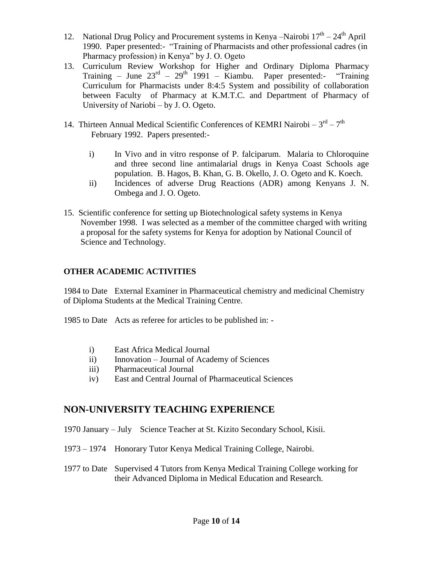- 12. National Drug Policy and Procurement systems in Kenya -Nairobi  $17<sup>th</sup> 24<sup>th</sup>$  April 1990. Paper presented:- "Training of Pharmacists and other professional cadres (in Pharmacy profession) in Kenya" by J. O. Ogeto
- 13. Curriculum Review Workshop for Higher and Ordinary Diploma Pharmacy Training – June  $23^{rd}$  –  $29^{th}$  1991 – Kiambu. Paper presented:- "Training Curriculum for Pharmacists under 8:4:5 System and possibility of collaboration between Faculty of Pharmacy at K.M.T.C. and Department of Pharmacy of University of Nariobi – by J. O. Ogeto.
- 14. Thirteen Annual Medical Scientific Conferences of KEMRI Nairobi  $-3^{rd} 7^{th}$  February 1992. Papers presented:
	- i) In Vivo and in vitro response of P. falciparum. Malaria to Chloroquine and three second line antimalarial drugs in Kenya Coast Schools age population. B. Hagos, B. Khan, G. B. Okello, J. O. Ogeto and K. Koech.
	- ii) Incidences of adverse Drug Reactions (ADR) among Kenyans J. N. Ombega and J. O. Ogeto.
- 15. Scientific conference for setting up Biotechnological safety systems in Kenya November 1998. I was selected as a member of the committee charged with writing a proposal for the safety systems for Kenya for adoption by National Council of Science and Technology.

#### **OTHER ACADEMIC ACTIVITIES**

1984 to Date External Examiner in Pharmaceutical chemistry and medicinal Chemistry of Diploma Students at the Medical Training Centre.

1985 to Date Acts as referee for articles to be published in: -

- i) East Africa Medical Journal
- ii) Innovation Journal of Academy of Sciences
- iii) Pharmaceutical Journal
- iv) East and Central Journal of Pharmaceutical Sciences

## **NON-UNIVERSITY TEACHING EXPERIENCE**

- 1970 January July Science Teacher at St. Kizito Secondary School, Kisii.
- 1973 1974 Honorary Tutor Kenya Medical Training College, Nairobi.
- 1977 to Date Supervised 4 Tutors from Kenya Medical Training College working for their Advanced Diploma in Medical Education and Research.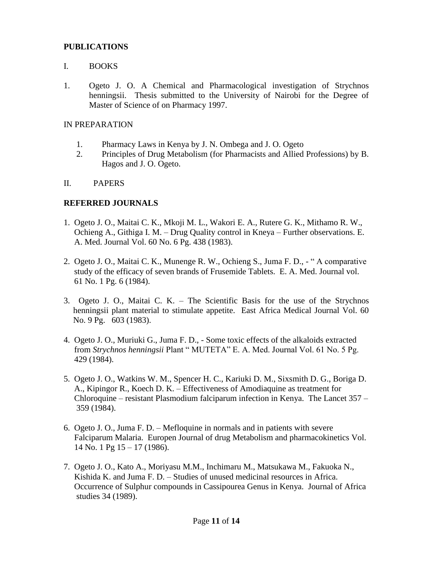#### **PUBLICATIONS**

#### I. BOOKS

1. Ogeto J. O. A Chemical and Pharmacological investigation of Strychnos henningsii. Thesis submitted to the University of Nairobi for the Degree of Master of Science of on Pharmacy 1997.

#### IN PREPARATION

- 1. Pharmacy Laws in Kenya by J. N. Ombega and J. O. Ogeto
- 2. Principles of Drug Metabolism (for Pharmacists and Allied Professions) by B. Hagos and J. O. Ogeto.
- II. PAPERS

#### **REFERRED JOURNALS**

- 1. Ogeto J. O., Maitai C. K., Mkoji M. L., Wakori E. A., Rutere G. K., Mithamo R. W., Ochieng A., Githiga I. M. – Drug Quality control in Kneya – Further observations. E. A. Med. Journal Vol. 60 No. 6 Pg. 438 (1983).
- 2. Ogeto J. O., Maitai C. K., Munenge R. W., Ochieng S., Juma F. D., " A comparative study of the efficacy of seven brands of Frusemide Tablets. E. A. Med. Journal vol. 61 No. 1 Pg. 6 (1984).
- 3. Ogeto J. O., Maitai C. K. The Scientific Basis for the use of the Strychnos henningsii plant material to stimulate appetite. East Africa Medical Journal Vol. 60 No. 9 Pg. 603 (1983).
- 4. Ogeto J. O., Muriuki G., Juma F. D., Some toxic effects of the alkaloids extracted from *Strychnos henningsii* Plant " MUTETA" E. A. Med. Journal Vol. 61 No. 5 Pg. 429 (1984).
- 5. Ogeto J. O., Watkins W. M., Spencer H. C., Kariuki D. M., Sixsmith D. G., Boriga D. A., Kipingor R., Koech D. K. – Effectiveness of Amodiaquine as treatment for Chloroquine – resistant Plasmodium falciparum infection in Kenya. The Lancet 357 – 359 (1984).
- 6. Ogeto J. O., Juma F. D. Mefloquine in normals and in patients with severe Falciparum Malaria. Europen Journal of drug Metabolism and pharmacokinetics Vol. 14 No. 1 Pg 15 – 17 (1986).
- 7. Ogeto J. O., Kato A., Moriyasu M.M., Inchimaru M., Matsukawa M., Fakuoka N., Kishida K. and Juma F. D. – Studies of unused medicinal resources in Africa. Occurrence of Sulphur compounds in Cassipourea Genus in Kenya. Journal of Africa studies 34 (1989).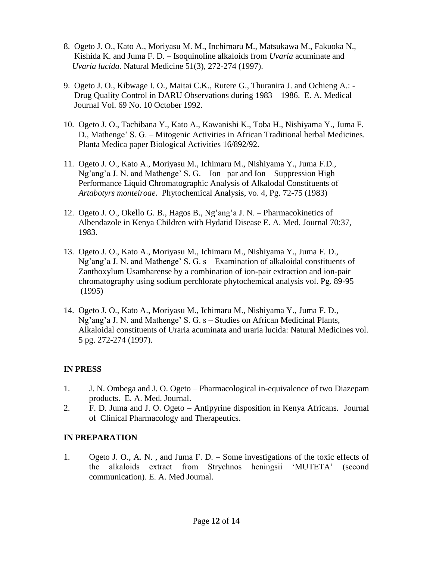- 8. Ogeto J. O., Kato A., Moriyasu M. M., Inchimaru M., Matsukawa M., Fakuoka N., Kishida K. and Juma F. D. – Isoquinoline alkaloids from *Uvaria* acuminate and  *Uvaria lucida*. Natural Medicine 51(3), 272-274 (1997).
- 9. Ogeto J. O., Kibwage I. O., Maitai C.K., Rutere G., Thuranira J. and Ochieng A.: Drug Quality Control in DARU Observations during 1983 – 1986. E. A. Medical Journal Vol. 69 No. 10 October 1992.
- 10. Ogeto J. O., Tachibana Y., Kato A., Kawanishi K., Toba H., Nishiyama Y., Juma F. D., Mathenge" S. G. – Mitogenic Activities in African Traditional herbal Medicines. Planta Medica paper Biological Activities 16/892/92.
- 11. Ogeto J. O., Kato A., Moriyasu M., Ichimaru M., Nishiyama Y., Juma F.D.,  $Ng'ang' a J. N.$  and Mathenge' S. G. – Ion –par and Ion – Suppression High Performance Liquid Chromatographic Analysis of Alkalodal Constituents of  *Artabotyrs monteiroae*. Phytochemical Analysis, vo. 4, Pg. 72-75 (1983)
- 12. Ogeto J. O., Okello G. B., Hagos B., Ng"ang"a J. N. Pharmacokinetics of Albendazole in Kenya Children with Hydatid Disease E. A. Med. Journal 70:37, 1983.
- 13. Ogeto J. O., Kato A., Moriyasu M., Ichimaru M., Nishiyama Y., Juma F. D., Ng'ang'a J. N. and Mathenge' S. G. s – Examination of alkaloidal constituents of Zanthoxylum Usambarense by a combination of ion-pair extraction and ion-pair chromatography using sodium perchlorate phytochemical analysis vol. Pg. 89-95 (1995)
- 14. Ogeto J. O., Kato A., Moriyasu M., Ichimaru M., Nishiyama Y., Juma F. D., Ng'ang'a J. N. and Mathenge' S. G. s – Studies on African Medicinal Plants, Alkaloidal constituents of Uraria acuminata and uraria lucida: Natural Medicines vol. 5 pg. 272-274 (1997).

### **IN PRESS**

- 1. J. N. Ombega and J. O. Ogeto Pharmacological in-equivalence of two Diazepam products. E. A. Med. Journal.
- 2. F. D. Juma and J. O. Ogeto Antipyrine disposition in Kenya Africans. Journal of Clinical Pharmacology and Therapeutics.

### **IN PREPARATION**

1. Ogeto J. O., A. N. , and Juma F. D. – Some investigations of the toxic effects of the alkaloids extract from Strychnos heningsii "MUTETA" (second communication). E. A. Med Journal.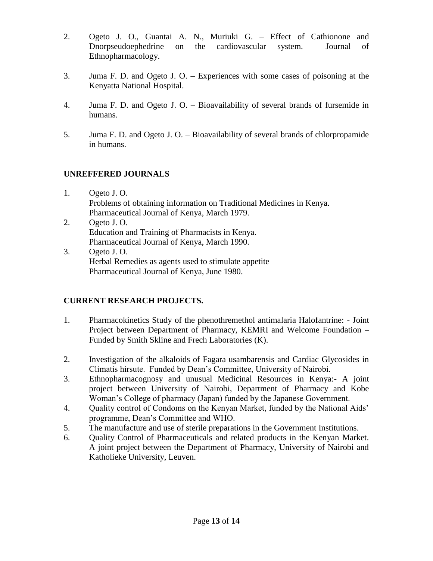- 2. Ogeto J. O., Guantai A. N., Muriuki G. Effect of Cathionone and Dnorpseudoephedrine on the cardiovascular system. Journal of Ethnopharmacology.
- 3. Juma F. D. and Ogeto J. O. Experiences with some cases of poisoning at the Kenyatta National Hospital.
- 4. Juma F. D. and Ogeto J. O. Bioavailability of several brands of fursemide in humans.
- 5. Juma F. D. and Ogeto J. O. Bioavailability of several brands of chlorpropamide in humans.

### **UNREFFERED JOURNALS**

- 1. Ogeto J. O. Problems of obtaining information on Traditional Medicines in Kenya. Pharmaceutical Journal of Kenya, March 1979.
- 2. Ogeto J. O. Education and Training of Pharmacists in Kenya. Pharmaceutical Journal of Kenya, March 1990.
- 3. Ogeto J. O. Herbal Remedies as agents used to stimulate appetite Pharmaceutical Journal of Kenya, June 1980.

### **CURRENT RESEARCH PROJECTS.**

- 1. Pharmacokinetics Study of the phenothremethol antimalaria Halofantrine: Joint Project between Department of Pharmacy, KEMRI and Welcome Foundation – Funded by Smith Skline and Frech Laboratories (K).
- 2. Investigation of the alkaloids of Fagara usambarensis and Cardiac Glycosides in Climatis hirsute. Funded by Dean"s Committee, University of Nairobi.
- 3. Ethnopharmacognosy and unusual Medicinal Resources in Kenya:- A joint project between University of Nairobi, Department of Pharmacy and Kobe Woman"s College of pharmacy (Japan) funded by the Japanese Government.
- 4. Quality control of Condoms on the Kenyan Market, funded by the National Aids" programme, Dean"s Committee and WHO.
- 5. The manufacture and use of sterile preparations in the Government Institutions.
- 6. Quality Control of Pharmaceuticals and related products in the Kenyan Market. A joint project between the Department of Pharmacy, University of Nairobi and Katholieke University, Leuven.